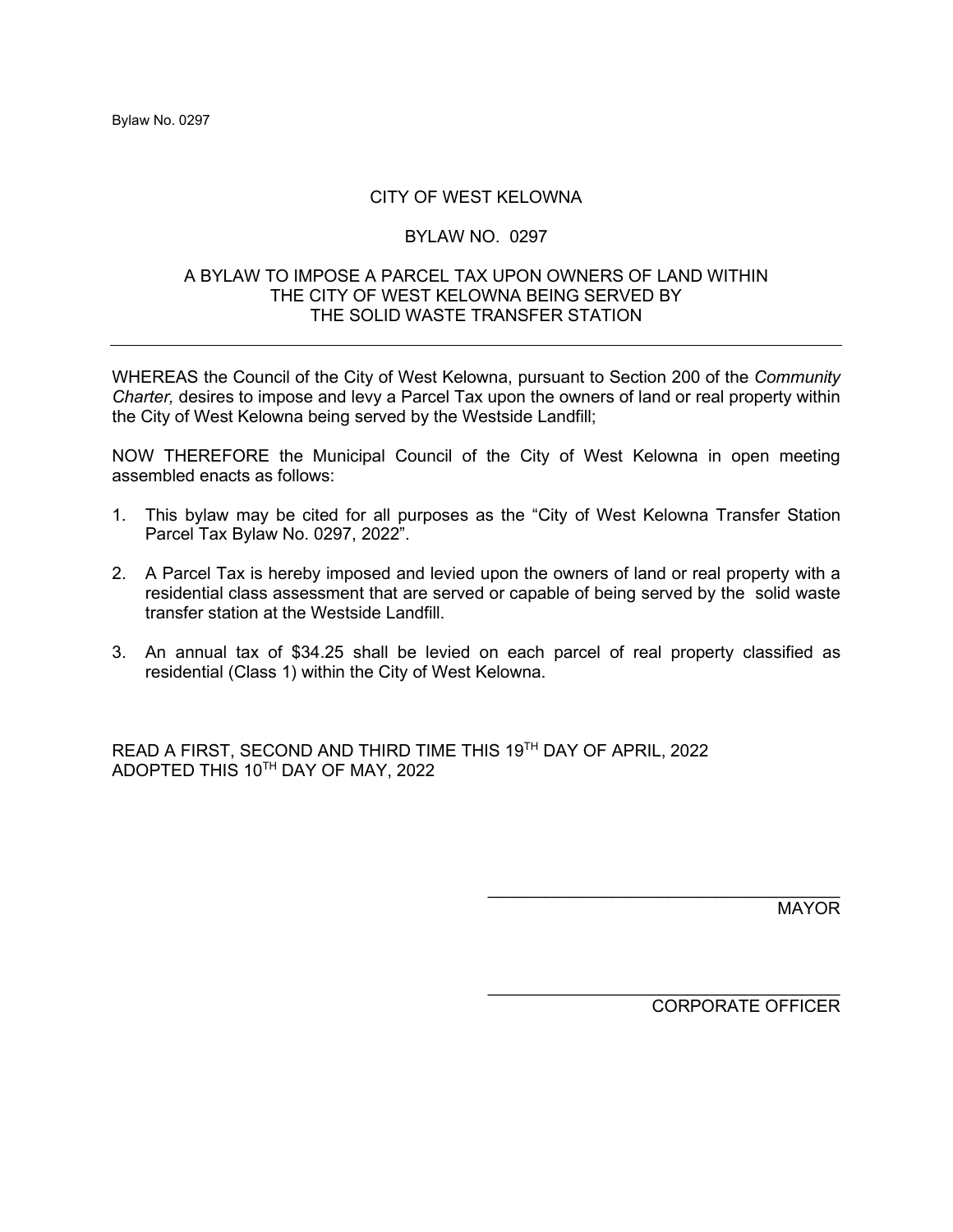# CITY OF WEST KELOWNA

## BYLAW NO. 0297

### A BYLAW TO IMPOSE A PARCEL TAX UPON OWNERS OF LAND WITHIN THE CITY OF WEST KELOWNA BEING SERVED BY THE SOLID WASTE TRANSFER STATION

WHEREAS the Council of the City of West Kelowna, pursuant to Section 200 of the *Community Charter,* desires to impose and levy a Parcel Tax upon the owners of land or real property within the City of West Kelowna being served by the Westside Landfill;

NOW THEREFORE the Municipal Council of the City of West Kelowna in open meeting assembled enacts as follows:

- 1. This bylaw may be cited for all purposes as the "City of West Kelowna Transfer Station Parcel Tax Bylaw No. 0297, 2022".
- 2. A Parcel Tax is hereby imposed and levied upon the owners of land or real property with a residential class assessment that are served or capable of being served by the solid waste transfer station at the Westside Landfill.
- 3. An annual tax of \$34.25 shall be levied on each parcel of real property classified as residential (Class 1) within the City of West Kelowna.

READ A FIRST, SECOND AND THIRD TIME THIS 19TH DAY OF APRIL, 2022 ADOPTED THIS 10TH DAY OF MAY, 2022

MAYOR

CORPORATE OFFICER

\_\_\_\_\_\_\_\_\_\_\_\_\_\_\_\_\_\_\_\_\_\_\_\_\_\_\_\_\_\_\_\_\_\_\_\_\_

\_\_\_\_\_\_\_\_\_\_\_\_\_\_\_\_\_\_\_\_\_\_\_\_\_\_\_\_\_\_\_\_\_\_\_\_\_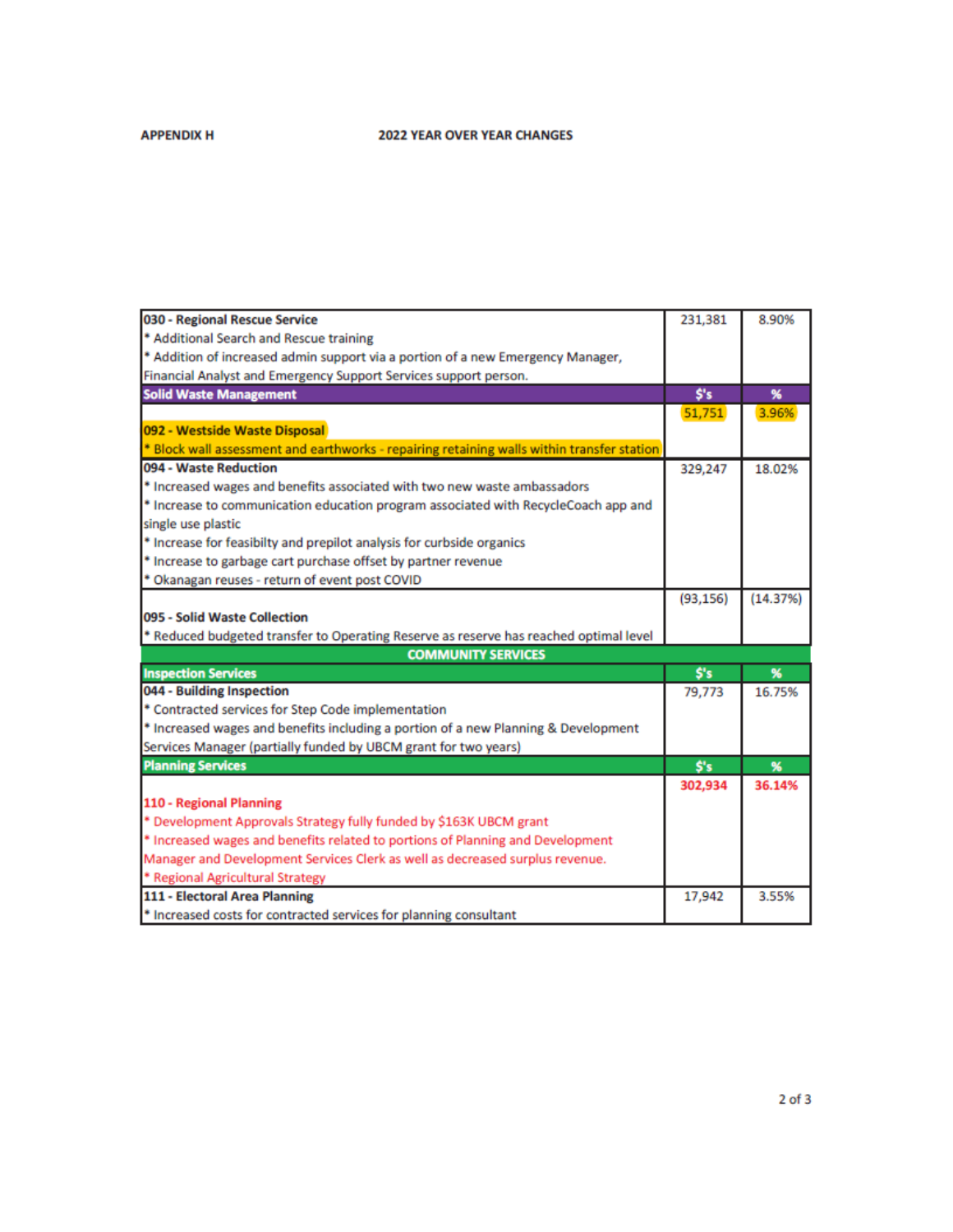# **2022 YEAR OVER YEAR CHANGES**

### **APPENDIX H**

| 030 - Regional Rescue Service                                                              | 231,381   | 8.90%    |
|--------------------------------------------------------------------------------------------|-----------|----------|
| * Additional Search and Rescue training                                                    |           |          |
| * Addition of increased admin support via a portion of a new Emergency Manager,            |           |          |
| Financial Analyst and Emergency Support Services support person.                           |           |          |
| <b>Solid Waste Management</b>                                                              | S's       | %        |
|                                                                                            | 51,751    | 3.96%    |
| 092 - Westside Waste Disposal                                                              |           |          |
| * Block wall assessment and earthworks - repairing retaining walls within transfer station |           |          |
| 094 - Waste Reduction                                                                      | 329,247   | 18.02%   |
| * Increased wages and benefits associated with two new waste ambassadors                   |           |          |
| * Increase to communication education program associated with RecycleCoach app and         |           |          |
| single use plastic                                                                         |           |          |
| * Increase for feasibilty and prepilot analysis for curbside organics                      |           |          |
| * Increase to garbage cart purchase offset by partner revenue                              |           |          |
| * Okanagan reuses - return of event post COVID                                             |           |          |
|                                                                                            | (93, 156) | (14.37%) |
| 095 - Solid Waste Collection                                                               |           |          |
| * Reduced budgeted transfer to Operating Reserve as reserve has reached optimal level      |           |          |
| <b>COMMUNITY SERVICES</b>                                                                  |           |          |
| <b>Inspection Services</b>                                                                 | Ś's       | %        |
| 044 - Building Inspection                                                                  | 79,773    | 16.75%   |
| * Contracted services for Step Code implementation                                         |           |          |
| * Increased wages and benefits including a portion of a new Planning & Development         |           |          |
| Services Manager (partially funded by UBCM grant for two years)                            |           |          |
| <b>Planning Services</b>                                                                   | S's       | %        |
|                                                                                            | 302,934   | 36.14%   |
| 110 - Regional Planning                                                                    |           |          |
| * Development Approvals Strategy fully funded by \$163K UBCM grant                         |           |          |
| * Increased wages and benefits related to portions of Planning and Development             |           |          |
| Manager and Development Services Clerk as well as decreased surplus revenue.               |           |          |
| * Regional Agricultural Strategy                                                           |           |          |
| 111 - Electoral Area Planning                                                              | 17,942    | 3.55%    |
| * Increased costs for contracted services for planning consultant                          |           |          |